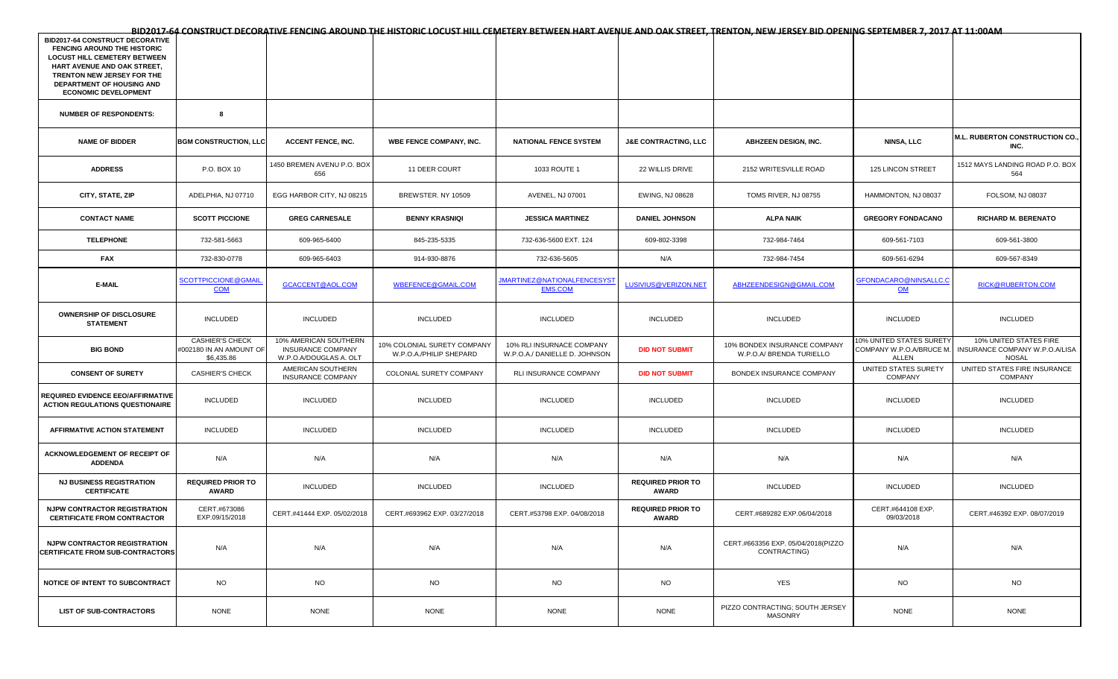| <b>BID2017-64 CONSTRUCT DECORATIVE</b><br><b>FENCING AROUND THE HISTORIC</b><br><b>LOCUST HILL CEMETERY BETWEEN</b><br>HART AVENUE AND OAK STREET,<br>TRENTON NEW JERSEY FOR THE<br>DEPARTMENT OF HOUSING AND<br><b>ECONOMIC DEVELOPMENT</b> |                                                                 |                                                                      |                                                        |                                                            |                                   |                                                          |                                                               |                                                                          |
|----------------------------------------------------------------------------------------------------------------------------------------------------------------------------------------------------------------------------------------------|-----------------------------------------------------------------|----------------------------------------------------------------------|--------------------------------------------------------|------------------------------------------------------------|-----------------------------------|----------------------------------------------------------|---------------------------------------------------------------|--------------------------------------------------------------------------|
| <b>NUMBER OF RESPONDENTS:</b>                                                                                                                                                                                                                | 8                                                               |                                                                      |                                                        |                                                            |                                   |                                                          |                                                               |                                                                          |
| <b>NAME OF BIDDER</b>                                                                                                                                                                                                                        | <b>BGM CONSTRUCTION, LLC</b>                                    | <b>ACCENT FENCE, INC.</b>                                            | <b>WBE FENCE COMPANY, INC.</b>                         | <b>NATIONAL FENCE SYSTEM</b>                               | <b>J&amp;E CONTRACTING, LLC</b>   | <b>ABHZEEN DESIGN, INC.</b>                              | <b>NINSA, LLC</b>                                             | M.L. RUBERTON CONSTRUCTION CO.,<br>INC.                                  |
| <b>ADDRESS</b>                                                                                                                                                                                                                               | P.O. BOX 10                                                     | 1450 BREMEN AVENU P.O. BOX<br>656                                    | 11 DEER COURT                                          | 1033 ROUTE 1                                               | 22 WILLIS DRIVE                   | 2152 WRITESVILLE ROAD                                    | 125 LINCON STREET                                             | 1512 MAYS LANDING ROAD P.O. BOX<br>564                                   |
| CITY, STATE, ZIP                                                                                                                                                                                                                             | ADELPHIA, NJ 07710                                              | EGG HARBOR CITY, NJ 08215                                            | BREWSTER. NY 10509                                     | AVENEL, NJ 07001                                           | EWING, NJ 08628                   | TOMS RIVER, NJ 08755                                     | HAMMONTON, NJ 08037                                           | FOLSOM, NJ 08037                                                         |
| <b>CONTACT NAME</b>                                                                                                                                                                                                                          | <b>SCOTT PICCIONE</b>                                           | <b>GREG CARNESALE</b>                                                | <b>BENNY KRASNIQI</b>                                  | <b>JESSICA MARTINEZ</b>                                    | <b>DANIEL JOHNSON</b>             | <b>ALPA NAIK</b>                                         | <b>GREGORY FONDACANO</b>                                      | <b>RICHARD M. BERENATO</b>                                               |
| <b>TELEPHONE</b>                                                                                                                                                                                                                             | 732-581-5663                                                    | 609-965-6400                                                         | 845-235-5335                                           | 732-636-5600 EXT. 124                                      | 609-802-3398                      | 732-984-7464                                             | 609-561-7103                                                  | 609-561-3800                                                             |
| FAX                                                                                                                                                                                                                                          | 732-830-0778                                                    | 609-965-6403                                                         | 914-930-8876                                           | 732-636-5605                                               | N/A                               | 732-984-7454                                             | 609-561-6294                                                  | 609-567-8349                                                             |
| E-MAIL                                                                                                                                                                                                                                       | <u>SCOTTPICCIONE@GMAIL</u><br><b>COM</b>                        | GCACCENT@AOL.COM                                                     | WBEFENCE@GMAIL.COM                                     | <b>JMARTINEZ@NATIONALFENCESYS</b><br><b>EMS.COM</b>        | LUSIVIUS@VERIZON.NET              | ABHZEENDESIGN@GMAIL.COM                                  | GFONDACARO@NINSALLC.C<br>$OM$                                 | RICK@RUBERTON.COM                                                        |
| <b>OWNERSHIP OF DISCLOSURE</b><br><b>STATEMENT</b>                                                                                                                                                                                           | <b>INCLUDED</b>                                                 | <b>INCLUDED</b>                                                      | INCLUDED                                               | INCLUDED                                                   | INCLUDED                          | <b>INCLUDED</b>                                          | <b>INCLUDED</b>                                               | <b>INCLUDED</b>                                                          |
| <b>BIG BOND</b>                                                                                                                                                                                                                              | <b>CASHIER'S CHECK</b><br>#002180 IN AN AMOUNT OF<br>\$6,435.86 | 10% AMERICAN SOUTHERN<br>INSURANCE COMPANY<br>W.P.O.A/DOUGLAS A. OLT | 10% COLONIAL SURETY COMPANY<br>W.P.O.A./PHILIP SHEPARD | 10% RLI INSURNACE COMPANY<br>W.P.O.A./ DANIELLE D. JOHNSON | <b>DID NOT SUBMIT</b>             | 10% BONDEX INSURANCE COMPANY<br>W.P.O.A/ BRENDA TURIELLO | 10% UNITED STATES SURETY<br>COMPANY W.P.O.A/BRUCE M.<br>ALLEN | 10% UNITED STATES FIRE<br>INSURANCE COMPANY W.P.O.A/LISA<br><b>NOSAL</b> |
| <b>CONSENT OF SURETY</b>                                                                                                                                                                                                                     | <b>CASHIER'S CHECK</b>                                          | AMERICAN SOUTHERN<br><b>INSURANCE COMPANY</b>                        | COLONIAL SURETY COMPANY                                | RLI INSURANCE COMPANY                                      | <b>DID NOT SUBMIT</b>             | BONDEX INSURANCE COMPANY                                 | UNITED STATES SURETY<br>COMPANY                               | UNITED STATES FIRE INSURANCE<br>COMPANY                                  |
| REQUIRED EVIDENCE EEO/AFFIRMATIVE<br><b>ACTION REGULATIONS QUESTIONAIRE</b>                                                                                                                                                                  | <b>INCLUDED</b>                                                 | <b>INCLUDED</b>                                                      | INCLUDED                                               | INCLUDED                                                   | INCLUDED                          | <b>INCLUDED</b>                                          | <b>INCLUDED</b>                                               | <b>INCLUDED</b>                                                          |
| AFFIRMATIVE ACTION STATEMENT                                                                                                                                                                                                                 | <b>INCLUDED</b>                                                 | <b>INCLUDED</b>                                                      | INCLUDED                                               | INCLUDED                                                   | INCLUDED                          | INCLUDED                                                 | <b>INCLUDED</b>                                               | <b>INCLUDED</b>                                                          |
| ACKNOWLEDGEMENT OF RECEIPT OF<br><b>ADDENDA</b>                                                                                                                                                                                              | N/A                                                             | N/A                                                                  | N/A                                                    | N/A                                                        | N/A                               | N/A                                                      | N/A                                                           | N/A                                                                      |
| <b>NJ BUSINESS REGISTRATION</b><br><b>CERTIFICATE</b>                                                                                                                                                                                        | <b>REQUIRED PRIOR TO</b><br>AWARD                               | <b>INCLUDED</b>                                                      | INCLUDED                                               | INCLUDED                                                   | <b>REQUIRED PRIOR TO</b><br>AWARD | <b>INCLUDED</b>                                          | <b>INCLUDED</b>                                               | <b>INCLUDED</b>                                                          |
| <b>NJPW CONTRACTOR REGISTRATION</b><br><b>CERTIFICATE FROM CONTRACTOR</b>                                                                                                                                                                    | CERT.#673086<br>EXP.09/15/2018                                  | CERT.#41444 EXP. 05/02/2018                                          | CERT.#693962 EXP. 03/27/2018                           | CERT.#53798 EXP. 04/08/2018                                | <b>REQUIRED PRIOR TO</b><br>AWARD | CERT.#689282 EXP.06/04/2018                              | CERT.#644108 EXP.<br>09/03/2018                               | CERT.#46392 EXP. 08/07/2019                                              |
| <b>NJPW CONTRACTOR REGISTRATION</b><br><b>CERTIFICATE FROM SUB-CONTRACTORS</b>                                                                                                                                                               | N/A                                                             | N/A                                                                  | N/A                                                    | N/A                                                        | N/A                               | CERT.#663356 EXP. 05/04/2018(PIZZO<br>CONTRACTING)       | N/A                                                           | N/A                                                                      |
| NOTICE OF INTENT TO SUBCONTRACT                                                                                                                                                                                                              | <b>NO</b>                                                       | <b>NO</b>                                                            | <b>NO</b>                                              | <b>NO</b>                                                  | <b>NO</b>                         | <b>YES</b>                                               | <b>NO</b>                                                     | <b>NO</b>                                                                |
| <b>LIST OF SUB-CONTRACTORS</b>                                                                                                                                                                                                               | <b>NONE</b>                                                     | <b>NONE</b>                                                          | <b>NONE</b>                                            | <b>NONE</b>                                                | <b>NONE</b>                       | PIZZO CONTRACTING; SOUTH JERSEY<br><b>MASONRY</b>        | <b>NONE</b>                                                   | <b>NONE</b>                                                              |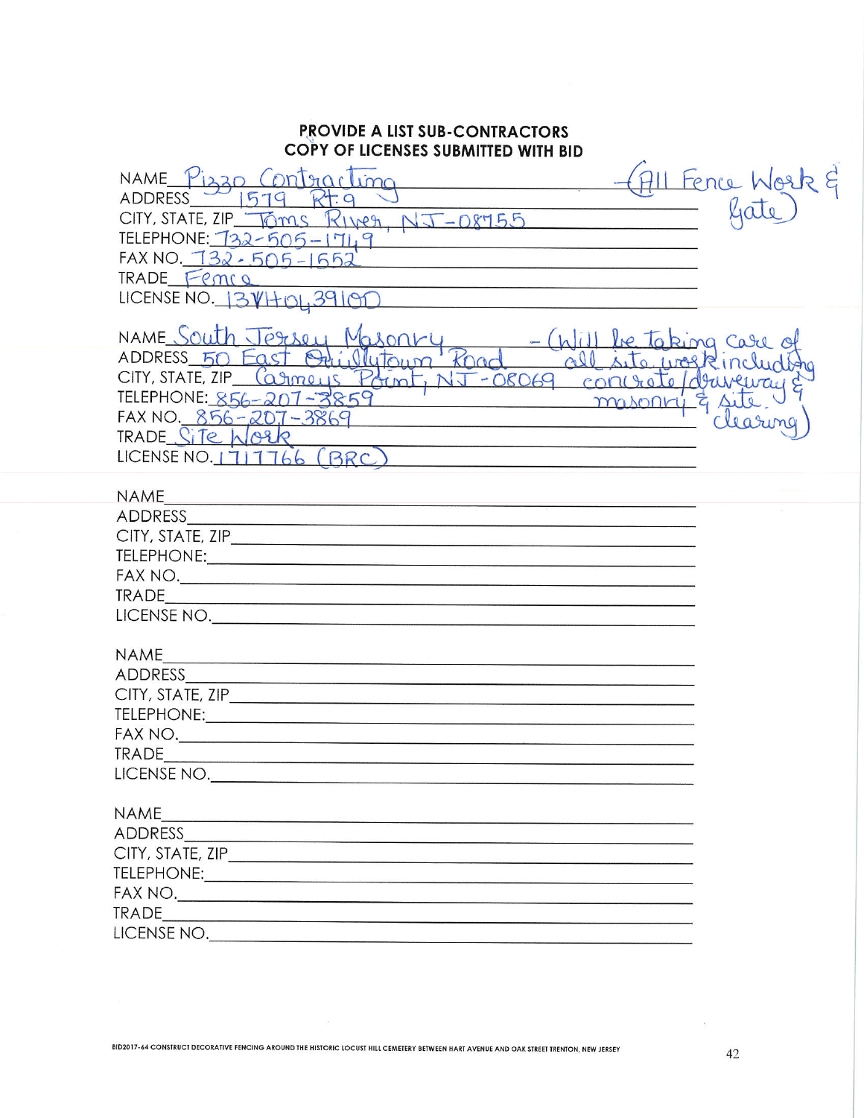## **PROVIDE A LIST SUB-CONTRACTORS** COPY OF LICENSES SUBMITTED WITH BID

| NAME<br>$intmax$ lima<br><b>ADDRESS</b><br>$R$ IVEA, $NT-08755$<br>$CITY$ , STATE, $ZIP$ $\sqrt{2}mS$<br>TELEPHONE: 732-505-1749<br>$FAX NO. 732 - 505 - 1552$<br>TRADE Femil<br>LICENSE NO. $3V$ HOI, 39100                                                                                                                                                       | All Fence Work 8                                       |
|--------------------------------------------------------------------------------------------------------------------------------------------------------------------------------------------------------------------------------------------------------------------------------------------------------------------------------------------------------------------|--------------------------------------------------------|
| NAME South Jersey<br>Maronry<br>ADDRESS 50 East<br>Vlutoum<br>$CITY$ , STATE, $ZIP$ $\left(\bigcirc \mathcal{S} \right)$<br>20069<br>controto<br>TELEPHONE: 856-207-3859<br>masonry & sile<br>$FAX NO. 856 - 207 - 3869$<br>TRADE Site Work<br>LICENSE NO. 1717766<br>BRC                                                                                          | be taking care of<br>site work includion<br>druveway & |
| NAME                                                                                                                                                                                                                                                                                                                                                               |                                                        |
| <b>ADDRESS</b>                                                                                                                                                                                                                                                                                                                                                     |                                                        |
| CITY, STATE, ZIP                                                                                                                                                                                                                                                                                                                                                   |                                                        |
|                                                                                                                                                                                                                                                                                                                                                                    |                                                        |
|                                                                                                                                                                                                                                                                                                                                                                    |                                                        |
|                                                                                                                                                                                                                                                                                                                                                                    |                                                        |
| LICENSE NO.                                                                                                                                                                                                                                                                                                                                                        |                                                        |
| <b>NAME</b>                                                                                                                                                                                                                                                                                                                                                        |                                                        |
| ADDRESS                                                                                                                                                                                                                                                                                                                                                            |                                                        |
|                                                                                                                                                                                                                                                                                                                                                                    |                                                        |
|                                                                                                                                                                                                                                                                                                                                                                    |                                                        |
|                                                                                                                                                                                                                                                                                                                                                                    |                                                        |
| <b>TRADE</b>                                                                                                                                                                                                                                                                                                                                                       |                                                        |
| LICENSE NO.                                                                                                                                                                                                                                                                                                                                                        |                                                        |
| NAME                                                                                                                                                                                                                                                                                                                                                               |                                                        |
| ADDRESS<br>the control of the control of the control of the control of the control of the control of the control of the control of the control of the control of the control of the control of the control of the control of the control                                                                                                                           |                                                        |
|                                                                                                                                                                                                                                                                                                                                                                    |                                                        |
|                                                                                                                                                                                                                                                                                                                                                                    |                                                        |
|                                                                                                                                                                                                                                                                                                                                                                    |                                                        |
| TRADE                                                                                                                                                                                                                                                                                                                                                              |                                                        |
| $\begin{picture}(180,10) \put(0,0){\vector(1,0){100}} \put(10,0){\vector(1,0){100}} \put(10,0){\vector(1,0){100}} \put(10,0){\vector(1,0){100}} \put(10,0){\vector(1,0){100}} \put(10,0){\vector(1,0){100}} \put(10,0){\vector(1,0){100}} \put(10,0){\vector(1,0){100}} \put(10,0){\vector(1,0){100}} \put(10,0){\vector(1,0){100}} \put(10,0){\vector(1,0){100}}$ |                                                        |
|                                                                                                                                                                                                                                                                                                                                                                    |                                                        |

 $\overline{\Sigma}$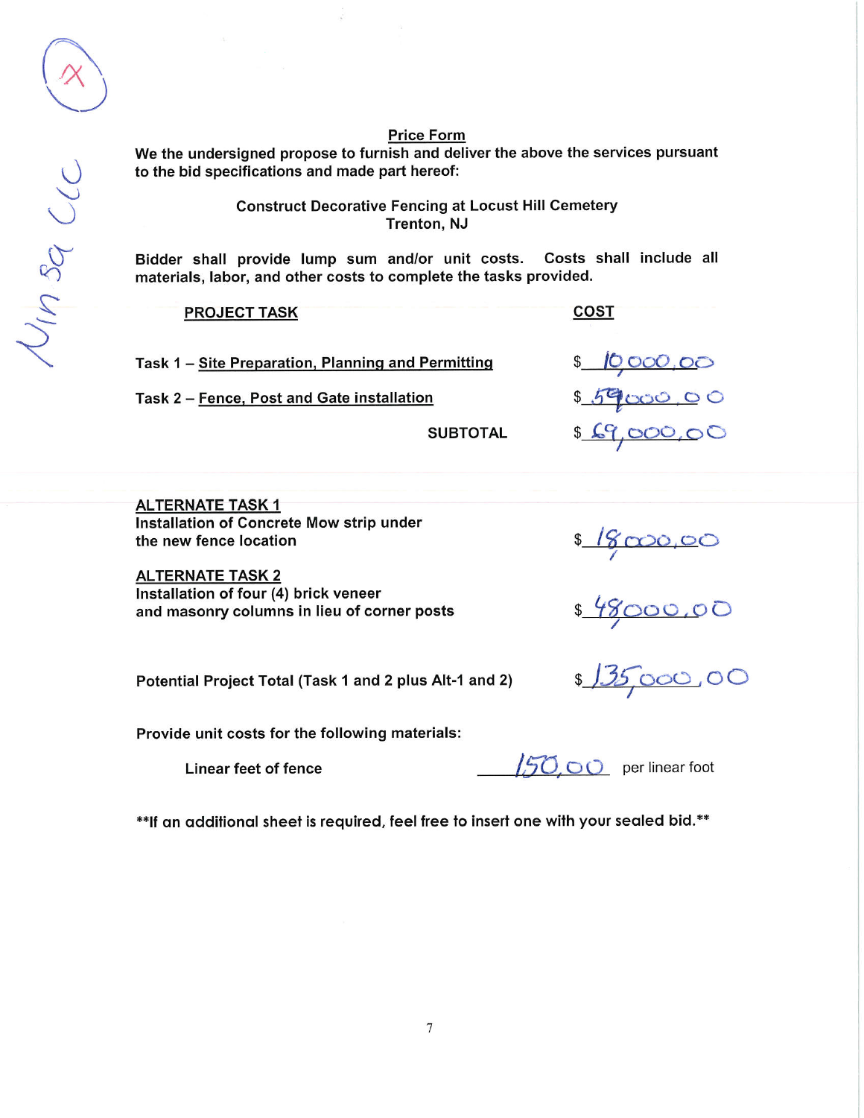## **Price Form**

We the undersigned propose to furnish and deliver the above the services pursuant to the bid specifications and made part hereof:

> **Construct Decorative Fencing at Locust Hill Cemetery** Trenton, NJ

Bidder shall provide lump sum and/or unit costs. Costs shall include all materials, labor, and other costs to complete the tasks provided.

| <b>PROJECT TASK</b>                                |                 | COST         |
|----------------------------------------------------|-----------------|--------------|
| Task 1 - Site Preparation, Planning and Permitting |                 | \$ 10,000,00 |
| Task 2 - Fence, Post and Gate installation         |                 | \$59000,00   |
|                                                    | <b>SUBTOTAL</b> | \$69,000,00  |

**ALTERNATE TASK 1** Installation of Concrete Mow strip under the new fence location

**ALTERNATE TASK 2** Installation of four (4) brick veneer and masonry columns in lieu of corner posts

Potential Project Total (Task 1 and 2 plus Alt-1 and 2)

Provide unit costs for the following materials:

**Linear feet of fence** 

50,00 per linear foot

\$18000.00<br>\$48000.00<br>\$135,000.00

\*\*If an additional sheet is required, feel free to insert one with your sealed bid.\*\*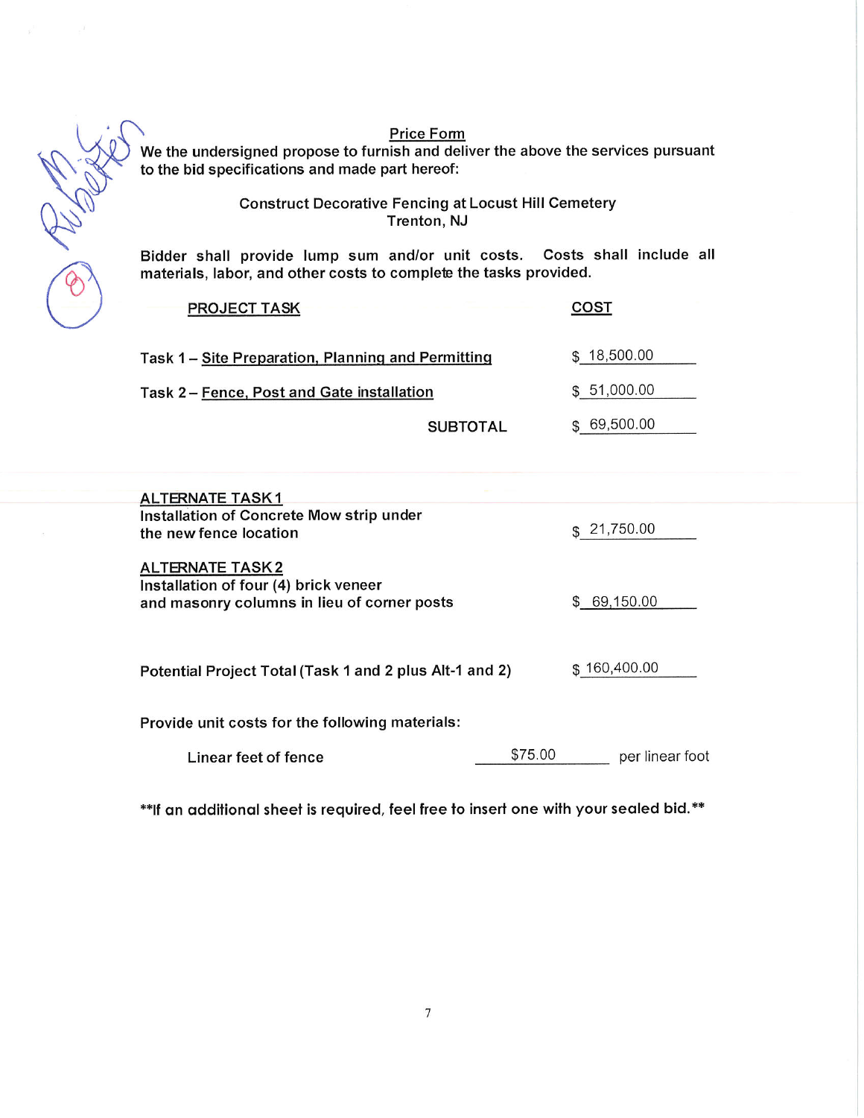$\circledast$ 

**Price Form** 

We the undersigned propose to furnish and deliver the above the services pursuant<br>to the bid specifications and made part hereof:

**Construct Decorative Fencing at Locust Hill Cemetery** Trenton, NJ

Bidder shall provide lump sum and/or unit costs. Costs shall include all materials, labor, and other costs to complete the tasks provided.

| <b>PROJECT TASK</b>                                |                 | COST        |  |
|----------------------------------------------------|-----------------|-------------|--|
| Task 1 – Site Preparation, Planning and Permitting |                 | \$18,500.00 |  |
| Task 2 - Fence, Post and Gate installation         |                 | \$51,000.00 |  |
|                                                    | <b>SUBTOTAL</b> | 69,500.00   |  |

| <b>ALTERNATE TASK1</b><br>Installation of Concrete Mow strip under<br>the new fence location                   |         | \$21,750.00     |
|----------------------------------------------------------------------------------------------------------------|---------|-----------------|
| <b>ALTERNATE TASK2</b><br>Installation of four (4) brick veneer<br>and masonry columns in lieu of corner posts |         | 69,150.00<br>S. |
| Potential Project Total (Task 1 and 2 plus Alt-1 and 2)                                                        |         | \$160,400.00    |
| Provide unit costs for the following materials:                                                                |         |                 |
| Linear feet of fence                                                                                           | \$75.00 | per linear foot |
|                                                                                                                |         |                 |

\*\* If an additional sheet is required, feel free to insert one with your sealed bid.\*\*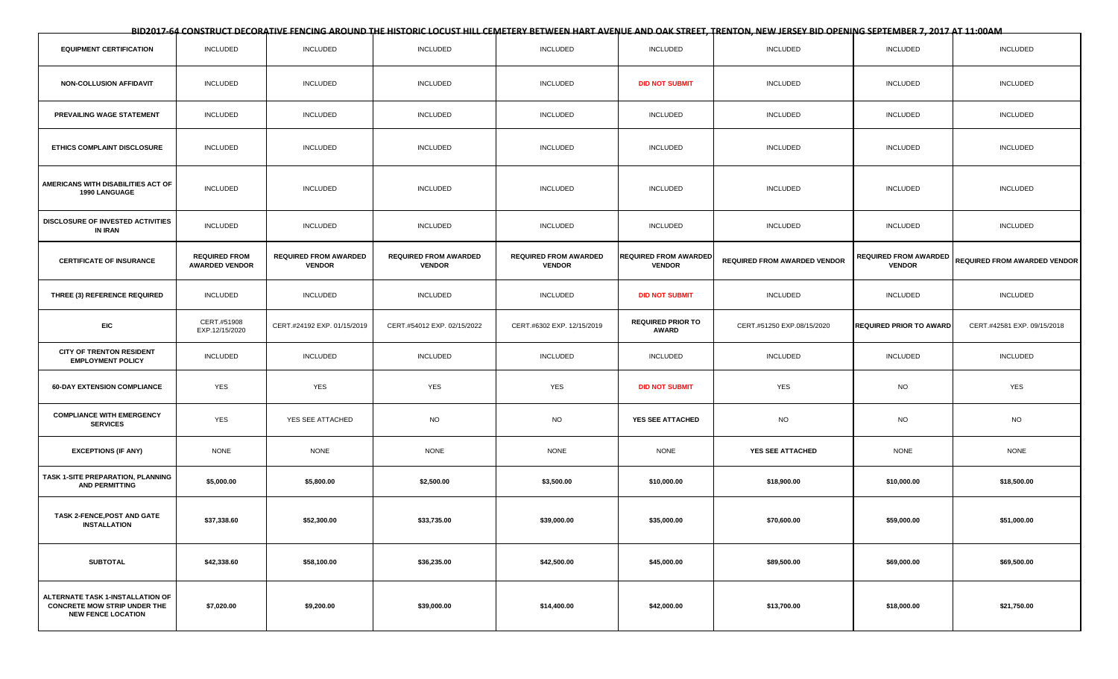**BID2017-64 CONSTRUCT DECORATIVE FENCING AROUND THE HISTORIC LOCUST HILL CEMETERY BETWEEN HART AVENUE AND OAK STREET, TRENTON, NEW JERSEY BID OPENING SEPTEMBER 7, 2017 AT 11:00AM**

| <b>EQUIPMENT CERTIFICATION</b>                                                                       | <b>INCLUDED</b>                               | <b>INCLUDED</b>                               | <b>INCLUDED</b>                               | <b>INCLUDED</b>                               | <b>INCLUDED</b>                               | <b>INCLUDED</b>                     | <b>INCLUDED</b>                               | <b>INCLUDED</b>              |
|------------------------------------------------------------------------------------------------------|-----------------------------------------------|-----------------------------------------------|-----------------------------------------------|-----------------------------------------------|-----------------------------------------------|-------------------------------------|-----------------------------------------------|------------------------------|
| <b>NON-COLLUSION AFFIDAVIT</b>                                                                       | <b>INCLUDED</b>                               | <b>INCLUDED</b>                               | <b>INCLUDED</b>                               | <b>INCLUDED</b>                               | <b>DID NOT SUBMIT</b>                         | <b>INCLUDED</b>                     | <b>INCLUDED</b>                               | <b>INCLUDED</b>              |
| PREVAILING WAGE STATEMENT                                                                            | <b>INCLUDED</b>                               | <b>INCLUDED</b>                               | <b>INCLUDED</b>                               | <b>INCLUDED</b>                               | INCLUDED                                      | <b>INCLUDED</b>                     | <b>INCLUDED</b>                               | <b>INCLUDED</b>              |
| <b>ETHICS COMPLAINT DISCLOSURE</b>                                                                   | <b>INCLUDED</b>                               | <b>INCLUDED</b>                               | <b>INCLUDED</b>                               | <b>INCLUDED</b>                               | <b>INCLUDED</b>                               | <b>INCLUDED</b>                     | <b>INCLUDED</b>                               | <b>INCLUDED</b>              |
| AMERICANS WITH DISABILITIES ACT OF<br>1990 LANGUAGE                                                  | <b>INCLUDED</b>                               | <b>INCLUDED</b>                               | <b>INCLUDED</b>                               | <b>INCLUDED</b>                               | <b>INCLUDED</b>                               | <b>INCLUDED</b>                     | <b>INCLUDED</b>                               | <b>INCLUDED</b>              |
| DISCLOSURE OF INVESTED ACTIVITIES<br>IN IRAN                                                         | <b>INCLUDED</b>                               | <b>INCLUDED</b>                               | <b>INCLUDED</b>                               | INCLUDED                                      | <b>INCLUDED</b>                               | <b>INCLUDED</b>                     | <b>INCLUDED</b>                               | <b>INCLUDED</b>              |
| <b>CERTIFICATE OF INSURANCE</b>                                                                      | <b>REQUIRED FROM</b><br><b>AWARDED VENDOR</b> | <b>REQUIRED FROM AWARDED</b><br><b>VENDOR</b> | <b>REQUIRED FROM AWARDED</b><br><b>VENDOR</b> | <b>REQUIRED FROM AWARDED</b><br><b>VENDOR</b> | <b>REQUIRED FROM AWARDED</b><br><b>VENDOR</b> | <b>REQUIRED FROM AWARDED VENDOR</b> | <b>REQUIRED FROM AWARDED</b><br><b>VENDOR</b> | REQUIRED FROM AWARDED VENDOR |
| THREE (3) REFERENCE REQUIRED                                                                         | <b>INCLUDED</b>                               | <b>INCLUDED</b>                               | INCLUDED                                      | <b>INCLUDED</b>                               | <b>DID NOT SUBMIT</b>                         | <b>INCLUDED</b>                     | <b>INCLUDED</b>                               | <b>INCLUDED</b>              |
| <b>EIC</b>                                                                                           | CERT.#51908<br>EXP.12/15/2020                 | CERT.#24192 EXP. 01/15/2019                   | CERT.#54012 EXP. 02/15/2022                   | CERT.#6302 EXP. 12/15/2019                    | <b>REQUIRED PRIOR TO</b><br><b>AWARD</b>      | CERT.#51250 EXP.08/15/2020          | <b>REQUIRED PRIOR TO AWARD</b>                | CERT.#42581 EXP. 09/15/2018  |
| <b>CITY OF TRENTON RESIDENT</b><br><b>EMPLOYMENT POLICY</b>                                          | <b>INCLUDED</b>                               | <b>INCLUDED</b>                               | <b>INCLUDED</b>                               | <b>INCLUDED</b>                               | <b>INCLUDED</b>                               | <b>INCLUDED</b>                     | <b>INCLUDED</b>                               | <b>INCLUDED</b>              |
| <b>60-DAY EXTENSION COMPLIANCE</b>                                                                   | <b>YES</b>                                    | YES                                           | YES                                           | YES                                           | <b>DID NOT SUBMIT</b>                         | YES                                 | <b>NO</b>                                     | YES                          |
| <b>COMPLIANCE WITH EMERGENCY</b><br><b>SERVICES</b>                                                  | <b>YES</b>                                    | YES SEE ATTACHED                              | <b>NO</b>                                     | <b>NO</b>                                     | YES SEE ATTACHED                              | <b>NO</b>                           | <b>NO</b>                                     | <b>NO</b>                    |
| <b>EXCEPTIONS (IF ANY)</b>                                                                           | <b>NONE</b>                                   | <b>NONE</b>                                   | <b>NONE</b>                                   | <b>NONE</b>                                   | <b>NONE</b>                                   | YES SEE ATTACHED                    | <b>NONE</b>                                   | <b>NONE</b>                  |
| TASK 1-SITE PREPARATION, PLANNING<br><b>AND PERMITTING</b>                                           | \$5,000.00                                    | \$5,800.00                                    | \$2,500.00                                    | \$3,500.00                                    | \$10,000.00                                   | \$18,900.00                         | \$10,000.00                                   | \$18,500.00                  |
| TASK 2-FENCE, POST AND GATE<br><b>INSTALLATION</b>                                                   | \$37,338.60                                   | \$52,300.00                                   | \$33,735.00                                   | \$39,000.00                                   | \$35,000.00                                   | \$70,600.00                         | \$59,000.00                                   | \$51,000.00                  |
| <b>SUBTOTAL</b>                                                                                      | \$42,338.60                                   | \$58,100.00                                   | \$36,235.00                                   | \$42,500.00                                   | \$45,000.00                                   | \$89,500.00                         | \$69,000.00                                   | \$69,500.00                  |
| ALTERNATE TASK 1-INSTALLATION OF<br><b>CONCRETE MOW STRIP UNDER THE</b><br><b>NEW FENCE LOCATION</b> | \$7,020.00                                    | \$9,200.00                                    | \$39,000.00                                   | \$14,400.00                                   | \$42,000.00                                   | \$13,700.00                         | \$18,000.00                                   | \$21,750.00                  |